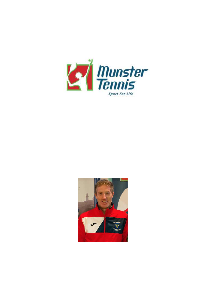

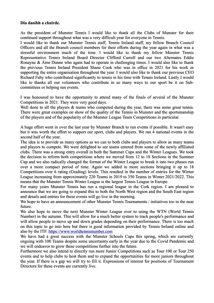## **Dia daoibh a chairde.**

As the president of Munster Tennis I would like to thank all the Clubs of Munster for their continued support throughout what was a very difficult year for everyone in Tennis.

I would like to thank our Munster Tennis staff, Tennis Ireland staff, my fellow Branch Council Officers and all the Branch council members for their efforts during the year again in what was a stressful environment much of the time. I would like to thank my fellow Munster Tennis Representative Tennis Ireland Board Director Clifford Carroll and our two Alternates Eddie Ronayne & Áine Dunne who again had to operate in challenging times. I would also like to thank the previous Tennis Ireland President Shane Cook who was in office in 2021 for his work in supporting the entire organisation throughout the year. I would also like to thank our previous CEO Richard Fahy who contributed significantly to tennis in his time with Tennis Ireland. Lastly I would like to thanks all our volunteers who contribute in so many ways to our sport be it on Subcommittees or helping run events.

I was honoured to have the opportunity to attend many of the finals of several of the Munster Competitions in 2021. They were very good days.

Well done to all the players  $\&$  teams who competed during the year, there was some great tennis. There were great examples on show of the quality of the Tennis in Munster and the sportsmanship of the players and of the popularity of the Munster League Team Competitions in particular.

A huge effort went in over the last year by Munster Branch to run events if possible. It wasn't easy but it was worth the effort to support our sport, clubs and players. We ran 4 national events in the second half of the year.

The idea is to provide as many options as we can to both clubs and players to allow as many teams and players to compete. We were delighted to see teams entered from some of the newly affiliated clubs. There was a strong entry overall in both the Summer Cups and the Winter Leagues. We took the decision to reform both competitions where we moved from 12 to 18 Sections in the Summer Cup and we also radically changed the format of the Winter League to break it into two phases run over a more compact period of time. Again we added in more sections bringing it up to 18 Competitions over 6 rating (Grading) levels. This resulted in the number of entries for the Winter League increasing from approximately 220 Teams in 2019 to 350 Teams in Winter 2021/2022. This means that the Munster Tennis Winter League is the largest Tennis League in Europe.

For many years Munster Tennis has run a regional league in the Cork region. I am pleased to announce that we are going to expand this to both the North West region and the South East region and details and entries for these events will go live in the morning.

We hope to have an announcement of other Munster Tennis Tournaments / initiatives too in the near future.

We also hope to move the next Munster Winter League over to using the WTN (World Tennis Number) in the autumn. This will allow for a much better system to track people's performance and will allow people to move up and down grades depending on their performance. There is too much on this topic to go into here but there is good information provided by Tennis Ireland online and also by the ITF. [https://www.worldtennisnumber.com](https://www.worldtennisnumber.com/) 

We have had a great success with the Munster Schools Cups this spring, which are currently ongoing with 100 Teams despite some uncertainty early in the year due to the Covid Pandemic and we will endeavor to grow these competitions further into the future.

Furthermore we also intend to directly run more Junior Competitions such as Tour 100 or Tour 250 events and to help clubs to host them and to expand the opportunities for more juniors throughout the year. If there is a gap we will try to fill it. Expressions of interest for positions of Tournament Directors for these events are currently live.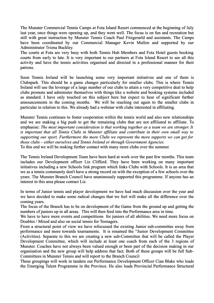The Munster Commercial Tennis Camps at Fota Island Resort commenced at the beginning of July last year, once things were opening up, and they went well. The focus is on fun and recreation but still with great instruction by Munster Tennis Coach Paul Fitzgerarld and assistants. The Camps have been coordinated by our Commercial Manager Kevin Mullen and supported by our Administrator Triona Buckley.

The courts at Fota are very busy with both Tennis Hub Members and Fota Hotel guests booking courts from early to late. It is very important to our partners at Fota Island Resort to see all this activity and have the tennis activities organised and directed in a professional manner for their patrons.

Soon Tennis Ireland will be launching some very important initiatives and one of them is Clubspark. This should be a game changer particularly for smaller clubs. This is where Tennis Ireland will use the leverage of a large number of our clubs to attain a very competitive deal to help clubs promote and administer themselves with things like a website and booking systems included as standard. I have only touched on this subject here but expect to hear of significant further announcements in the coming months. We will be reaching out again to the smaller clubs in particular in relation to this. We already had a webinar with clubs interested in affiliating.

Munster Tennis continues to foster cooperation within the tennis world and also new relationships and we are making a big push to get the remaining clubs that are not affiliated to affiliate. To emphasise: *The most important consideration is that working together as a team we are stronger. It is important that all Tennis Clubs in Munster affiliate and contribute in their own small way to supporting our sport. Furthermore the more Clubs we represent the more supports we can get for those clubs – either ourselves and Tennis Ireland or through Government Agencies.*

To this end we will be making further contact with many more clubs over the summer.

The Tennis Ireland Development Team have been hard at work over the past few months. This team includes our Development officer Liz Clifford. They have been working on many important initiatives including a new Schools link program which links Clubs with Schools. It is an area that we as a tennis community don't have a strong record on with the exception of a few schools over the years. The Munster Branch Council have unanimously supported this programme. If anyone has an interest in this area please contact Liz.

In terms of Junior tennis and player development we have had much discussion over the year and we have decided to make some radical changes that we feel will make all the difference over the coming years.

The focus of the Branch has to be on development of the Game from the ground up and getting the numbers of juniors up in all areas. This will then feed into the Performance area in time.

We have to have more events and competitions for juniors of all abilities. We need more focus on Doubles / Mixed and also on social tennis for Teenagers.

From a structural point of view we have refocussed the existing Junior sub-committee away from performance and more towards tournaments. It is renamed the "Junior Development Committee (Activities). Separate to this we are creating a new sub-Committee that will be called the Player Development Committee, which will include at least one coach from each of the 3 regions of Munster. Coaches have not always been valued enough or been part of the decision making in our organisation and the new group will help address that fact. Both of these groups will be full Sub-Committees in Munster Tennis and will report to the Branch Council

These groupings will work in tandem our Performance Development Officer Cian Blake who leads the Emerging Talent Programme in the Province. He also leads Provincial Performance Structural